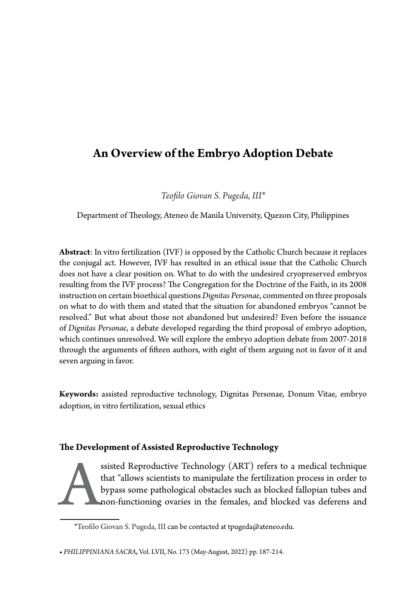# **An Overview of the Embryo Adoption Debate**

*Teofilo Giovan S. Pugeda, III\**

Department of Theology, Ateneo de Manila University, Quezon City, Philippines

**Abstract**: In vitro fertilization (IVF) is opposed by the Catholic Church because it replaces the conjugal act. However, IVF has resulted in an ethical issue that the Catholic Church does not have a clear position on. What to do with the undesired cryopreserved embryos resulting from the IVF process? The Congregation for the Doctrine of the Faith, in its 2008 instruction on certain bioethical questions *Dignitas Personae*, commented on three proposals on what to do with them and stated that the situation for abandoned embryos "cannot be resolved." But what about those not abandoned but undesired? Even before the issuance of *Dignitas Personae*, a debate developed regarding the third proposal of embryo adoption, which continues unresolved. We will explore the embryo adoption debate from 2007-2018 through the arguments of fifteen authors, with eight of them arguing not in favor of it and seven arguing in favor.

**Keywords:** assisted reproductive technology, Dignitas Personae, Donum Vitae, embryo adoption, in vitro fertilization, sexual ethics

# **The Development of Assisted Reproductive Technology**

ssisted Reproductive Technology (ART) refers to a medical technique<br>that "allows scientists to manipulate the fertilization process in order to<br>bypass some pathological obstacles such as blocked fallopian tubes and<br>non-fun that "allows scientists to manipulate the fertilization process in order to bypass some pathological obstacles such as blocked fallopian tubes and non-functioning ovaries in the females, and blocked vas deferens and

**•** *PHILIPPINIANA SACRA,* Vol. LVII, No. 173 (May-August, 2022) pp. 187-214.

<sup>\*</sup>Teofilo Giovan S. Pugeda, III can be contacted at tpugeda@ateneo.edu.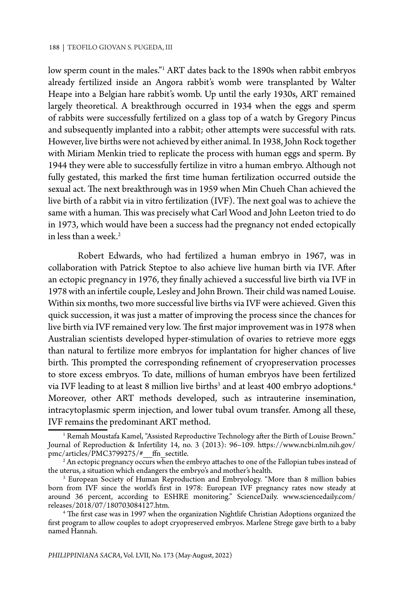low sperm count in the males."1 ART dates back to the 1890s when rabbit embryos already fertilized inside an Angora rabbit's womb were transplanted by Walter Heape into a Belgian hare rabbit's womb. Up until the early 1930s, ART remained largely theoretical. A breakthrough occurred in 1934 when the eggs and sperm of rabbits were successfully fertilized on a glass top of a watch by Gregory Pincus and subsequently implanted into a rabbit; other attempts were successful with rats. However, live births were not achieved by either animal. In 1938, John Rock together with Miriam Menkin tried to replicate the process with human eggs and sperm. By 1944 they were able to successfully fertilize in vitro a human embryo. Although not fully gestated, this marked the first time human fertilization occurred outside the sexual act. The next breakthrough was in 1959 when Min Chueh Chan achieved the live birth of a rabbit via in vitro fertilization (IVF). The next goal was to achieve the same with a human. This was precisely what Carl Wood and John Leeton tried to do in 1973, which would have been a success had the pregnancy not ended ectopically in less than a week.<sup>2</sup>

Robert Edwards, who had fertilized a human embryo in 1967, was in collaboration with Patrick Steptoe to also achieve live human birth via IVF. After an ectopic pregnancy in 1976, they finally achieved a successful live birth via IVF in 1978 with an infertile couple, Lesley and John Brown. Their child was named Louise. Within six months, two more successful live births via IVF were achieved. Given this quick succession, it was just a matter of improving the process since the chances for live birth via IVF remained very low. The first major improvement was in 1978 when Australian scientists developed hyper-stimulation of ovaries to retrieve more eggs than natural to fertilize more embryos for implantation for higher chances of live birth. This prompted the corresponding refinement of cryopreservation processes to store excess embryos. To date, millions of human embryos have been fertilized via IVF leading to at least 8 million live births $^3$  and at least 400 embryo adoptions. $^4$ Moreover, other ART methods developed, such as intrauterine insemination, intracytoplasmic sperm injection, and lower tubal ovum transfer. Among all these, IVF remains the predominant ART method.

 $^{\rm 1}$  Remah Moustafa Kamel, "Assisted Reproductive Technology after the Birth of Louise Brown." Journal of Reproduction & Infertility 14, no. 3 (2013): 96–109. https://www.ncbi.nlm.nih.gov/ pmc/articles/PMC3799275/#\_\_ffn\_sectitle.

 $^{\rm 2}$  An ectopic pregnancy occurs when the embryo attaches to one of the Fallopian tubes instead of the uterus, a situation which endangers the embryo's and mother's health.

<sup>3</sup> European Society of Human Reproduction and Embryology. "More than 8 million babies born from IVF since the world's first in 1978: European IVF pregnancy rates now steady at around 36 percent, according to ESHRE monitoring." ScienceDaily. www.sciencedaily.com/ releases/2018/07/180703084127.htm. 4

The first case was in 1997 when the organization Nightlife Christian Adoptions organized the first program to allow couples to adopt cryopreserved embryos. Marlene Strege gave birth to a baby named Hannah.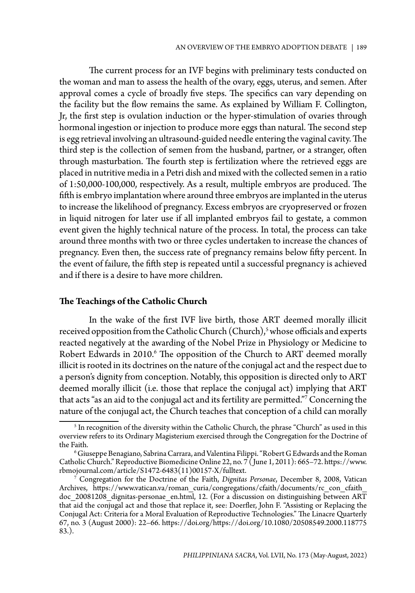The current process for an IVF begins with preliminary tests conducted on the woman and man to assess the health of the ovary, eggs, uterus, and semen. After approval comes a cycle of broadly five steps. The specifics can vary depending on the facility but the flow remains the same. As explained by William F. Collington, Jr, the first step is ovulation induction or the hyper-stimulation of ovaries through hormonal ingestion or injection to produce more eggs than natural. The second step is egg retrieval involving an ultrasound-guided needle entering the vaginal cavity. The third step is the collection of semen from the husband, partner, or a stranger, often through masturbation. The fourth step is fertilization where the retrieved eggs are placed in nutritive media in a Petri dish and mixed with the collected semen in a ratio of 1:50,000-100,000, respectively. As a result, multiple embryos are produced. The fifth is embryo implantation where around three embryos are implanted in the uterus to increase the likelihood of pregnancy. Excess embryos are cryopreserved or frozen in liquid nitrogen for later use if all implanted embryos fail to gestate, a common event given the highly technical nature of the process. In total, the process can take around three months with two or three cycles undertaken to increase the chances of pregnancy. Even then, the success rate of pregnancy remains below fifty percent. In the event of failure, the fifth step is repeated until a successful pregnancy is achieved and if there is a desire to have more children.

## **The Teachings of the Catholic Church**

In the wake of the first IVF live birth, those ART deemed morally illicit received opposition from the Catholic Church (Church),<sup>5</sup> whose officials and experts reacted negatively at the awarding of the Nobel Prize in Physiology or Medicine to Robert Edwards in 2010.<sup>6</sup> The opposition of the Church to ART deemed morally illicit is rooted in its doctrines on the nature of the conjugal act and the respect due to a person's dignity from conception. Notably, this opposition is directed only to ART deemed morally illicit (i.e. those that replace the conjugal act) implying that ART that acts "as an aid to the conjugal act and its fertility are permitted."7 Concerning the nature of the conjugal act, the Church teaches that conception of a child can morally

 $^{\rm 5}$  In recognition of the diversity within the Catholic Church, the phrase "Church" as used in this overview refers to its Ordinary Magisterium exercised through the Congregation for the Doctrine of the Faith.

 $^6$ Giuseppe Benagiano, Sabrina Carrara, and Valentina Filippi. "Robert G Edwards and the Roman Catholic Church." Reproductive Biomedicine Online 22, no. 7 ( June 1, 2011): 665–72. https://www. rbmojournal.com/article/S1472-6483(11)00157-X/fulltext.

<sup>7</sup> Congregation for the Doctrine of the Faith, *Dignitas Personae*, December 8, 2008, Vatican Archives, https://www.vatican.va/roman\_curia/congregations/cfaith/documents/rc\_con\_cfaith doc 20081208 dignitas-personae en.html, 12. (For a discussion on distinguishing between ART that aid the conjugal act and those that replace it, see: Doerfler, John F. "Assisting or Replacing the Conjugal Act: Criteria for a Moral Evaluation of Reproductive Technologies." The Linacre Quarterly 67, no. 3 (August 2000): 22–66. https://doi.org/https://doi.org/10.1080/20508549.2000.118775 83.).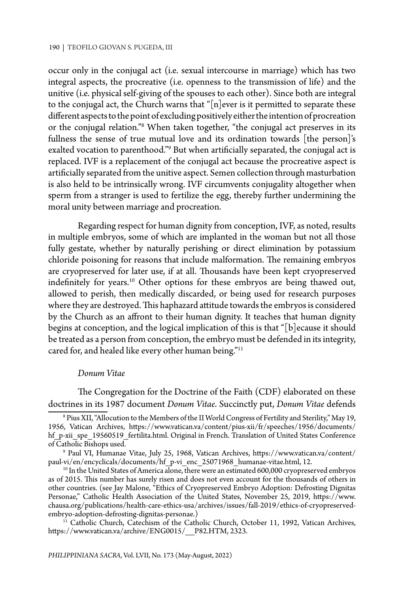occur only in the conjugal act (i.e. sexual intercourse in marriage) which has two integral aspects, the procreative (i.e. openness to the transmission of life) and the unitive (i.e. physical self-giving of the spouses to each other). Since both are integral to the conjugal act, the Church warns that " $[n]$ ever is it permitted to separate these different aspects to the point of excluding positively either the intention of procreation or the conjugal relation."8 When taken together, "the conjugal act preserves in its fullness the sense of true mutual love and its ordination towards [the person]'s exalted vocation to parenthood."<sup>9</sup> But when artificially separated, the conjugal act is replaced. IVF is a replacement of the conjugal act because the procreative aspect is artificially separated from the unitive aspect. Semen collection through masturbation is also held to be intrinsically wrong. IVF circumvents conjugality altogether when sperm from a stranger is used to fertilize the egg, thereby further undermining the moral unity between marriage and procreation.

Regarding respect for human dignity from conception, IVF, as noted, results in multiple embryos, some of which are implanted in the woman but not all those fully gestate, whether by naturally perishing or direct elimination by potassium chloride poisoning for reasons that include malformation. The remaining embryos are cryopreserved for later use, if at all. Thousands have been kept cryopreserved indefinitely for years.10 Other options for these embryos are being thawed out, allowed to perish, then medically discarded, or being used for research purposes where they are destroyed. This haphazard attitude towards the embryos is considered by the Church as an affront to their human dignity. It teaches that human dignity begins at conception, and the logical implication of this is that "[b]ecause it should be treated as a person from conception, the embryo must be defended in its integrity, cared for, and healed like every other human being."<sup>11</sup>

#### *Donum Vitae*

The Congregation for the Doctrine of the Faith (CDF) elaborated on these doctrines in its 1987 document *Donum Vitae*. Succinctly put, *Donum Vitae* defends

<sup>8</sup> Pius XII, "Allocution to the Members of the II World Congress of Fertility and Sterility," May 19, 1956, Vatican Archives, https://www.vatican.va/content/pius-xii/fr/speeches/1956/documents/ hf p-xii\_spe\_19560519\_fertilita.html. Original in French. Translation of United States Conference of Catholic Bishops used.

<sup>9</sup> Paul VI, Humanae Vitae, July 25, 1968, Vatican Archives, https://www.vatican.va/content/ paul-vi/en/encyclicals/documents/hf\_p-vi\_enc\_25071968\_humanae-vitae.html, 12.

 $^{10}$  In the United States of America alone, there were an estimated 600,000 cryopreserved embryos as of 2015. This number has surely risen and does not even account for the thousands of others in other countries. (see Jay Malone, "Ethics of Cryopreserved Embryo Adoption: Defrosting Dignitas Personae," Catholic Health Association of the United States, November 25, 2019, https://www. chausa.org/publications/health-care-ethics-usa/archives/issues/fall-2019/ethics-of-cryopreservedembryo-adoption-defrosting-dignitas-personae.)

 $11$  Catholic Church, Catechism of the Catholic Church, October 11, 1992, Vatican Archives, https://www.vatican.va/archive/ENG0015/\_\_P82.HTM, 2323.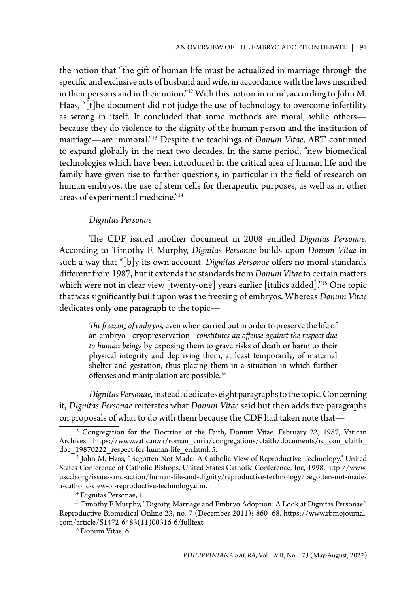the notion that "the gift of human life must be actualized in marriage through the specific and exclusive acts of husband and wife, in accordance with the laws inscribed in their persons and in their union."12 With this notion in mind, according to John M. Haas, "[t]he document did not judge the use of technology to overcome infertility as wrong in itself. It concluded that some methods are moral, while others because they do violence to the dignity of the human person and the institution of marriage—are immoral."13 Despite the teachings of *Donum Vitae*, ART continued to expand globally in the next two decades. In the same period, "new biomedical technologies which have been introduced in the critical area of human life and the family have given rise to further questions, in particular in the field of research on human embryos, the use of stem cells for therapeutic purposes, as well as in other areas of experimental medicine."14

#### *Dignitas Personae*

The CDF issued another document in 2008 entitled *Dignitas Personae*. According to Timothy F. Murphy, *Dignitas Personae* builds upon *Donum Vitae* in such a way that "[b]y its own account, *Dignitas Personae* offers no moral standards different from 1987, but it extends the standards from *Donum Vitae* to certain matters which were not in clear view [twenty-one] years earlier [italics added]."15 One topic that was significantly built upon was the freezing of embryos. Whereas *Donum Vitae*  dedicates only one paragraph to the topic—

*The freezing of embryos,* even when carried out in order to preserve the life of an embryo - cryopreservation - *constitutes an offense against the respect due to human beings* by exposing them to grave risks of death or harm to their physical integrity and depriving them, at least temporarily, of maternal shelter and gestation, thus placing them in a situation in which further offenses and manipulation are possible.16

*Dignitas Personae*, instead,dedicates eight paragraphs to the topic. Concerning it, *Dignitas Personae* reiterates what *Donum Vitae* said but then adds five paragraphs on proposals of what to do with them because the CDF had taken note that—

<sup>&</sup>lt;sup>12</sup> Congregation for the Doctrine of the Faith, Donum Vitae, February 22, 1987, Vatican Archives, https://www.vatican.va/roman\_curia/congregations/cfaith/documents/rc\_con\_cfaith\_ doc 19870222 respect-for-human-life\_en.html, 5.

<sup>&</sup>lt;sup>13</sup> John M. Haas, "Begotten Not Made: A Catholic View of Reproductive Technology." United States Conference of Catholic Bishops. United States Catholic Conference, Inc, 1998. http://www. usccb.org/issues-and-action/human-life-and-dignity/reproductive-technology/begotten-not-madea-catholic-view-of-reproductive-technology.cfm.

<sup>&</sup>lt;sup>14</sup> Dignitas Personae, 1.

<sup>&</sup>lt;sup>15</sup> Timothy F Murphy, "Dignity, Marriage and Embryo Adoption: A Look at Dignitas Personae." Reproductive Biomedical Online 23, no. 7 (December 2011): 860–68. https://www.rbmojournal. com/article/S1472-6483(11)00316-6/fulltext.

<sup>&</sup>lt;sup>16</sup> Donum Vitae, 6.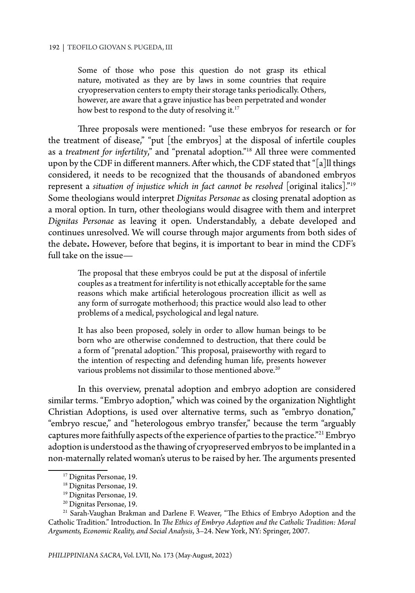Some of those who pose this question do not grasp its ethical nature, motivated as they are by laws in some countries that require cryopreservation centers to empty their storage tanks periodically. Others, however, are aware that a grave injustice has been perpetrated and wonder how best to respond to the duty of resolving it.<sup>17</sup>

Three proposals were mentioned: "use these embryos for research or for the treatment of disease," "put [the embryos] at the disposal of infertile couples as a *treatment for infertility*," and "prenatal adoption."18 All three were commented upon by the CDF in different manners. After which, the CDF stated that "[a]ll things considered, it needs to be recognized that the thousands of abandoned embryos represent a *situation of injustice which in fact cannot be resolved* [original italics]."<sup>19</sup> Some theologians would interpret *Dignitas Personae* as closing prenatal adoption as a moral option. In turn, other theologians would disagree with them and interpret *Dignitas Personae* as leaving it open. Understandably, a debate developed and continues unresolved. We will course through major arguments from both sides of the debate**.** However, before that begins, it is important to bear in mind the CDF's full take on the issue—

The proposal that these embryos could be put at the disposal of infertile couples as a treatment for infertility is not ethically acceptable for the same reasons which make artificial heterologous procreation illicit as well as any form of surrogate motherhood; this practice would also lead to other problems of a medical, psychological and legal nature.

It has also been proposed, solely in order to allow human beings to be born who are otherwise condemned to destruction, that there could be a form of "prenatal adoption." This proposal, praiseworthy with regard to the intention of respecting and defending human life, presents however various problems not dissimilar to those mentioned above.<sup>20</sup>

In this overview, prenatal adoption and embryo adoption are considered similar terms. "Embryo adoption," which was coined by the organization Nightlight Christian Adoptions, is used over alternative terms, such as "embryo donation," "embryo rescue," and "heterologous embryo transfer," because the term "arguably captures more faithfully aspects of the experience of parties to the practice."21 Embryo adoption is understood as the thawing of cryopreserved embryos to be implanted in a non-maternally related woman's uterus to be raised by her. The arguments presented

<sup>&</sup>lt;sup>17</sup> Dignitas Personae, 19.

<sup>18</sup> Dignitas Personae, 19.

<sup>19</sup> Dignitas Personae, 19.

<sup>20</sup> Dignitas Personae, 19.

<sup>&</sup>lt;sup>21</sup> Sarah-Vaughan Brakman and Darlene F. Weaver, "The Ethics of Embryo Adoption and the Catholic Tradition." Introduction. In *The Ethics of Embryo Adoption and the Catholic Tradition: Moral Arguments, Economic Reality, and Social Analysis*, 3–24. New York, NY: Springer, 2007.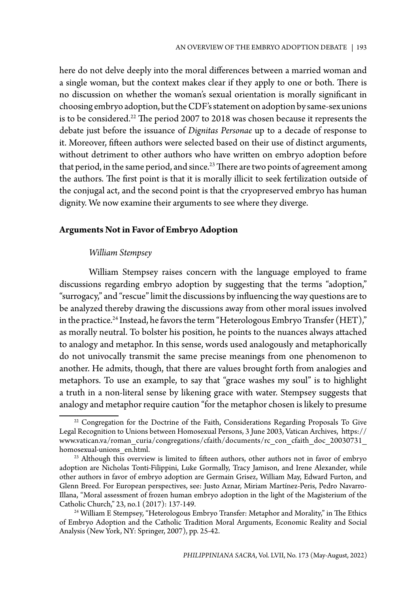here do not delve deeply into the moral differences between a married woman and a single woman, but the context makes clear if they apply to one or both. There is no discussion on whether the woman's sexual orientation is morally significant in choosing embryo adoption, but the CDF's statement on adoption by same-sex unions is to be considered.<sup>22</sup> The period 2007 to 2018 was chosen because it represents the debate just before the issuance of *Dignitas Personae* up to a decade of response to it. Moreover, fifteen authors were selected based on their use of distinct arguments, without detriment to other authors who have written on embryo adoption before that period, in the same period, and since.<sup>23</sup> There are two points of agreement among the authors. The first point is that it is morally illicit to seek fertilization outside of the conjugal act, and the second point is that the cryopreserved embryo has human dignity. We now examine their arguments to see where they diverge.

## **Arguments Not in Favor of Embryo Adoption**

#### *William Stempsey*

William Stempsey raises concern with the language employed to frame discussions regarding embryo adoption by suggesting that the terms "adoption," "surrogacy," and "rescue" limit the discussions by influencing the way questions are to be analyzed thereby drawing the discussions away from other moral issues involved in the practice.<sup>24</sup> Instead, he favors the term "Heterologous Embryo Transfer (HET)," as morally neutral. To bolster his position, he points to the nuances always attached to analogy and metaphor. In this sense, words used analogously and metaphorically do not univocally transmit the same precise meanings from one phenomenon to another. He admits, though, that there are values brought forth from analogies and metaphors. To use an example, to say that "grace washes my soul" is to highlight a truth in a non-literal sense by likening grace with water. Stempsey suggests that analogy and metaphor require caution "for the metaphor chosen is likely to presume

<sup>&</sup>lt;sup>22</sup> Congregation for the Doctrine of the Faith, Considerations Regarding Proposals To Give Legal Recognition to Unions between Homosexual Persons, 3 June 2003, Vatican Archives, https:// www.vatican.va/roman\_curia/congregations/cfaith/documents/rc\_con\_cfaith\_doc\_20030731\_ homosexual-unions\_en.html.

<sup>&</sup>lt;sup>23</sup> Although this overview is limited to fifteen authors, other authors not in favor of embryo adoption are Nicholas Tonti-Filippini, Luke Gormally, Tracy Jamison, and Irene Alexander, while other authors in favor of embryo adoption are Germain Grisez, William May, Edward Furton, and Glenn Breed. For European perspectives, see: Justo Aznar, Miriam Martínez-Peris, Pedro Navarro-Illana, "Moral assessment of frozen human embryo adoption in the light of the Magisterium of the Catholic Church," 23, no.1 (2017): 137-149.

<sup>24</sup> William E Stempsey, "Heterologous Embryo Transfer: Metaphor and Morality," in The Ethics of Embryo Adoption and the Catholic Tradition Moral Arguments, Economic Reality and Social Analysis (New York, NY: Springer, 2007), pp. 25-42.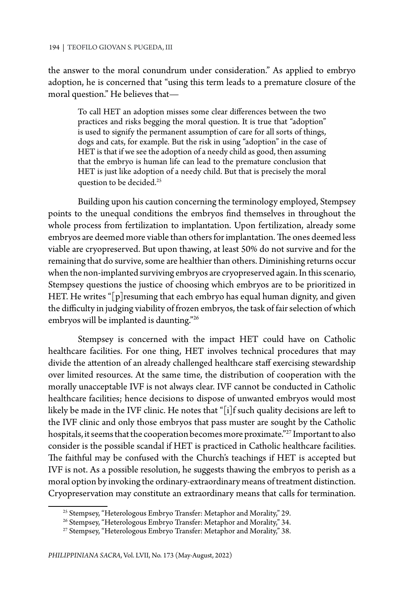#### 194 | TEOFILO GIOVAN S. PUGEDA, III

the answer to the moral conundrum under consideration." As applied to embryo adoption, he is concerned that "using this term leads to a premature closure of the moral question." He believes that—

To call HET an adoption misses some clear differences between the two practices and risks begging the moral question. It is true that "adoption" is used to signify the permanent assumption of care for all sorts of things, dogs and cats, for example. But the risk in using "adoption" in the case of HET is that if we see the adoption of a needy child as good, then assuming that the embryo is human life can lead to the premature conclusion that HET is just like adoption of a needy child. But that is precisely the moral question to be decided.25

Building upon his caution concerning the terminology employed, Stempsey points to the unequal conditions the embryos find themselves in throughout the whole process from fertilization to implantation. Upon fertilization, already some embryos are deemed more viable than others for implantation. The ones deemed less viable are cryopreserved. But upon thawing, at least 50% do not survive and for the remaining that do survive, some are healthier than others. Diminishing returns occur when the non-implanted surviving embryos are cryopreserved again. In this scenario, Stempsey questions the justice of choosing which embryos are to be prioritized in HET. He writes "[p]resuming that each embryo has equal human dignity, and given the difficulty in judging viability of frozen embryos, the task of fair selection of which embryos will be implanted is daunting."26

Stempsey is concerned with the impact HET could have on Catholic healthcare facilities. For one thing, HET involves technical procedures that may divide the attention of an already challenged healthcare staff exercising stewardship over limited resources. At the same time, the distribution of cooperation with the morally unacceptable IVF is not always clear. IVF cannot be conducted in Catholic healthcare facilities; hence decisions to dispose of unwanted embryos would most likely be made in the IVF clinic. He notes that "[i]f such quality decisions are left to the IVF clinic and only those embryos that pass muster are sought by the Catholic hospitals, it seems that the cooperation becomes more proximate."27 Important to also consider is the possible scandal if HET is practiced in Catholic healthcare facilities. The faithful may be confused with the Church's teachings if HET is accepted but IVF is not. As a possible resolution, he suggests thawing the embryos to perish as a moral option by invoking the ordinary-extraordinary means of treatment distinction. Cryopreservation may constitute an extraordinary means that calls for termination.

<sup>&</sup>lt;sup>25</sup> Stempsey, "Heterologous Embryo Transfer: Metaphor and Morality," 29.

<sup>&</sup>lt;sup>26</sup> Stempsey, "Heterologous Embryo Transfer: Metaphor and Morality," 34.

<sup>&</sup>lt;sup>27</sup> Stempsey, "Heterologous Embryo Transfer: Metaphor and Morality," 38.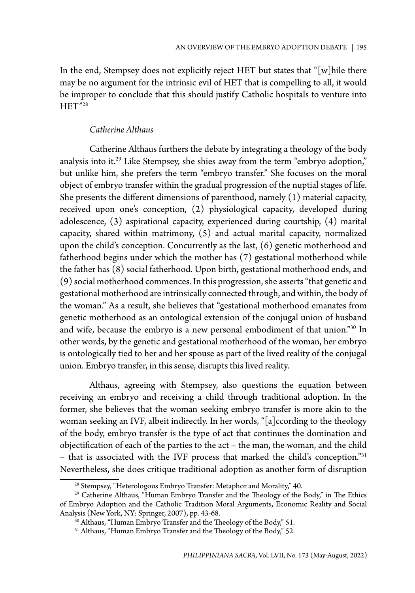In the end, Stempsey does not explicitly reject HET but states that " $[w]$ hile there may be no argument for the intrinsic evil of HET that is compelling to all, it would be improper to conclude that this should justify Catholic hospitals to venture into HET"<sup>28</sup>

## *Catherine Althaus*

Catherine Althaus furthers the debate by integrating a theology of the body analysis into it.29 Like Stempsey, she shies away from the term "embryo adoption," but unlike him, she prefers the term "embryo transfer." She focuses on the moral object of embryo transfer within the gradual progression of the nuptial stages of life. She presents the different dimensions of parenthood, namely (1) material capacity, received upon one's conception, (2) physiological capacity, developed during adolescence, (3) aspirational capacity, experienced during courtship, (4) marital capacity, shared within matrimony, (5) and actual marital capacity, normalized upon the child's conception. Concurrently as the last, (6) genetic motherhood and fatherhood begins under which the mother has (7) gestational motherhood while the father has (8) social fatherhood. Upon birth, gestational motherhood ends, and (9) social motherhood commences. In this progression, she asserts "that genetic and gestational motherhood are intrinsically connected through, and within, the body of the woman." As a result, she believes that "gestational motherhood emanates from genetic motherhood as an ontological extension of the conjugal union of husband and wife, because the embryo is a new personal embodiment of that union."30 In other words, by the genetic and gestational motherhood of the woman, her embryo is ontologically tied to her and her spouse as part of the lived reality of the conjugal union. Embryo transfer, in this sense, disrupts this lived reality.

Althaus, agreeing with Stempsey, also questions the equation between receiving an embryo and receiving a child through traditional adoption. In the former, she believes that the woman seeking embryo transfer is more akin to the woman seeking an IVF, albeit indirectly. In her words, "[a]ccording to the theology of the body, embryo transfer is the type of act that continues the domination and objectification of each of the parties to the act – the man, the woman, and the child – that is associated with the IVF process that marked the child's conception."31 Nevertheless, she does critique traditional adoption as another form of disruption

<sup>&</sup>lt;sup>28</sup> Stempsey, "Heterologous Embryo Transfer: Metaphor and Morality," 40.

<sup>&</sup>lt;sup>29</sup> Catherine Althaus, "Human Embryo Transfer and the Theology of the Body," in The Ethics of Embryo Adoption and the Catholic Tradition Moral Arguments, Economic Reality and Social Analysis (New York, NY: Springer, 2007), pp. 43-68.

<sup>&</sup>lt;sup>30</sup> Althaus, "Human Embryo Transfer and the Theology of the Body," 51.

<sup>&</sup>lt;sup>31</sup> Althaus, "Human Embryo Transfer and the Theology of the Body," 52.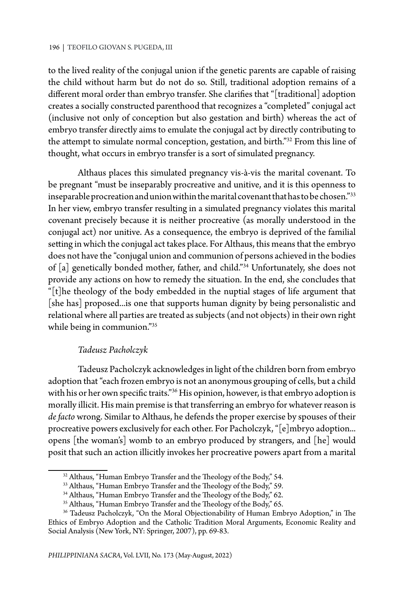to the lived reality of the conjugal union if the genetic parents are capable of raising the child without harm but do not do so. Still, traditional adoption remains of a different moral order than embryo transfer. She clarifies that "[traditional] adoption creates a socially constructed parenthood that recognizes a "completed" conjugal act (inclusive not only of conception but also gestation and birth) whereas the act of embryo transfer directly aims to emulate the conjugal act by directly contributing to the attempt to simulate normal conception, gestation, and birth."32 From this line of thought, what occurs in embryo transfer is a sort of simulated pregnancy.

Althaus places this simulated pregnancy vis-à-vis the marital covenant. To be pregnant "must be inseparably procreative and unitive, and it is this openness to inseparable procreation and union within the marital covenant that has to be chosen."33 In her view, embryo transfer resulting in a simulated pregnancy violates this marital covenant precisely because it is neither procreative (as morally understood in the conjugal act) nor unitive. As a consequence, the embryo is deprived of the familial setting in which the conjugal act takes place. For Althaus, this means that the embryo does not have the "conjugal union and communion of persons achieved in the bodies of [a] genetically bonded mother, father, and child."34 Unfortunately, she does not provide any actions on how to remedy the situation. In the end, she concludes that "[t]he theology of the body embedded in the nuptial stages of life argument that [she has] proposed...is one that supports human dignity by being personalistic and relational where all parties are treated as subjects (and not objects) in their own right while being in communion."<sup>35</sup>

## *Tadeusz Pacholczyk*

Tadeusz Pacholczyk acknowledges in light of the children born from embryo adoption that "each frozen embryo is not an anonymous grouping of cells, but a child with his or her own specific traits."<sup>36</sup> His opinion, however, is that embryo adoption is morally illicit. His main premise is that transferring an embryo for whatever reason is *de facto* wrong. Similar to Althaus, he defends the proper exercise by spouses of their procreative powers exclusively for each other. For Pacholczyk, "[e]mbryo adoption... opens [the woman's] womb to an embryo produced by strangers, and [he] would posit that such an action illicitly invokes her procreative powers apart from a marital

<sup>&</sup>lt;sup>32</sup> Althaus, "Human Embryo Transfer and the Theology of the Body," 54.

<sup>&</sup>lt;sup>33</sup> Althaus, "Human Embryo Transfer and the Theology of the Body," 59.

<sup>&</sup>lt;sup>34</sup> Althaus, "Human Embryo Transfer and the Theology of the Body," 62.

<sup>&</sup>lt;sup>35</sup> Althaus, "Human Embryo Transfer and the Theology of the Body," 65.

<sup>&</sup>lt;sup>36</sup> Tadeusz Pacholczyk, "On the Moral Objectionability of Human Embryo Adoption," in The Ethics of Embryo Adoption and the Catholic Tradition Moral Arguments, Economic Reality and Social Analysis (New York, NY: Springer, 2007), pp. 69-83.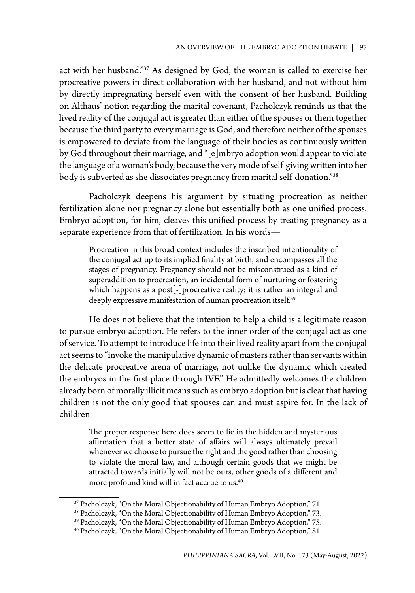act with her husband."37 As designed by God, the woman is called to exercise her procreative powers in direct collaboration with her husband, and not without him by directly impregnating herself even with the consent of her husband. Building on Althaus' notion regarding the marital covenant, Pacholczyk reminds us that the lived reality of the conjugal act is greater than either of the spouses or them together because the third party to every marriage is God, and therefore neither of the spouses is empowered to deviate from the language of their bodies as continuously written by God throughout their marriage, and "[e]mbryo adoption would appear to violate the language of a woman's body, because the very mode of self-giving written into her body is subverted as she dissociates pregnancy from marital self-donation."38

Pacholczyk deepens his argument by situating procreation as neither fertilization alone nor pregnancy alone but essentially both as one unified process. Embryo adoption, for him, cleaves this unified process by treating pregnancy as a separate experience from that of fertilization. In his words—

Procreation in this broad context includes the inscribed intentionality of the conjugal act up to its implied finality at birth, and encompasses all the stages of pregnancy. Pregnancy should not be misconstrued as a kind of superaddition to procreation, an incidental form of nurturing or fostering which happens as a post[-]procreative reality; it is rather an integral and deeply expressive manifestation of human procreation itself.<sup>39</sup>

He does not believe that the intention to help a child is a legitimate reason to pursue embryo adoption. He refers to the inner order of the conjugal act as one of service. To attempt to introduce life into their lived reality apart from the conjugal act seems to "invoke the manipulative dynamic of masters rather than servants within the delicate procreative arena of marriage, not unlike the dynamic which created the embryos in the first place through IVF." He admittedly welcomes the children already born of morally illicit means such as embryo adoption but is clear that having children is not the only good that spouses can and must aspire for. In the lack of children—

The proper response here does seem to lie in the hidden and mysterious affirmation that a better state of affairs will always ultimately prevail whenever we choose to pursue the right and the good rather than choosing to violate the moral law, and although certain goods that we might be attracted towards initially will not be ours, other goods of a different and more profound kind will in fact accrue to us.<sup>40</sup>

<sup>&</sup>lt;sup>37</sup> Pacholczyk, "On the Moral Objectionability of Human Embryo Adoption," 71.

<sup>38</sup> Pacholczyk, "On the Moral Objectionability of Human Embryo Adoption," 73.

<sup>39</sup> Pacholczyk, "On the Moral Objectionability of Human Embryo Adoption," 75.

<sup>40</sup> Pacholczyk, "On the Moral Objectionability of Human Embryo Adoption," 81.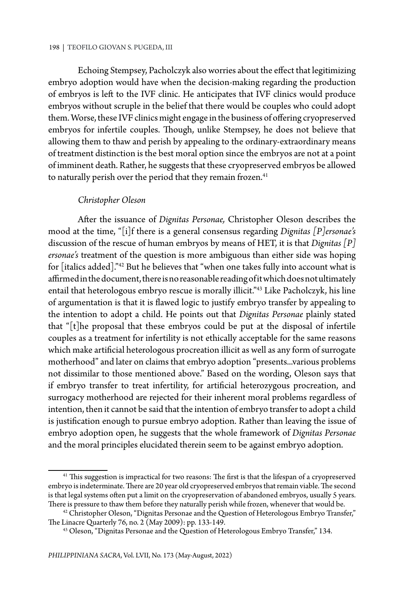Echoing Stempsey, Pacholczyk also worries about the effect that legitimizing embryo adoption would have when the decision-making regarding the production of embryos is left to the IVF clinic. He anticipates that IVF clinics would produce embryos without scruple in the belief that there would be couples who could adopt them. Worse, these IVF clinics might engage in the business of offering cryopreserved embryos for infertile couples. Though, unlike Stempsey, he does not believe that allowing them to thaw and perish by appealing to the ordinary-extraordinary means of treatment distinction is the best moral option since the embryos are not at a point of imminent death. Rather, he suggests that these cryopreserved embryos be allowed to naturally perish over the period that they remain frozen.<sup>41</sup>

### *Christopher Oleson*

After the issuance of *Dignitas Personae,* Christopher Oleson describes the mood at the time, "[i]f there is a general consensus regarding *Dignitas [P]ersonae's* discussion of the rescue of human embryos by means of HET, it is that *Dignitas [P] ersonae's* treatment of the question is more ambiguous than either side was hoping for [italics added]."42 But he believes that "when one takes fully into account what is affirmed in the document, there is no reasonable reading of it which does not ultimately entail that heterologous embryo rescue is morally illicit."43 Like Pacholczyk, his line of argumentation is that it is flawed logic to justify embryo transfer by appealing to the intention to adopt a child. He points out that *Dignitas Personae* plainly stated that "[t]he proposal that these embryos could be put at the disposal of infertile couples as a treatment for infertility is not ethically acceptable for the same reasons which make artificial heterologous procreation illicit as well as any form of surrogate motherhood" and later on claims that embryo adoption "presents...various problems not dissimilar to those mentioned above." Based on the wording, Oleson says that if embryo transfer to treat infertility, for artificial heterozygous procreation, and surrogacy motherhood are rejected for their inherent moral problems regardless of intention, then it cannot be said that the intention of embryo transfer to adopt a child is justification enough to pursue embryo adoption. Rather than leaving the issue of embryo adoption open, he suggests that the whole framework of *Dignitas Personae* and the moral principles elucidated therein seem to be against embryo adoption.

<sup>&</sup>lt;sup>41</sup> This suggestion is impractical for two reasons: The first is that the lifespan of a cryopreserved embryo is indeterminate. There are 20 year old cryopreserved embryos that remain viable. The second is that legal systems often put a limit on the cryopreservation of abandoned embryos, usually 5 years. There is pressure to thaw them before they naturally perish while frozen, whenever that would be.

 $42$  Christopher Oleson, "Dignitas Personae and the Question of Heterologous Embryo Transfer," The Linacre Quarterly 76, no. 2 (May 2009): pp. 133-149.

<sup>43</sup> Oleson, "Dignitas Personae and the Question of Heterologous Embryo Transfer," 134.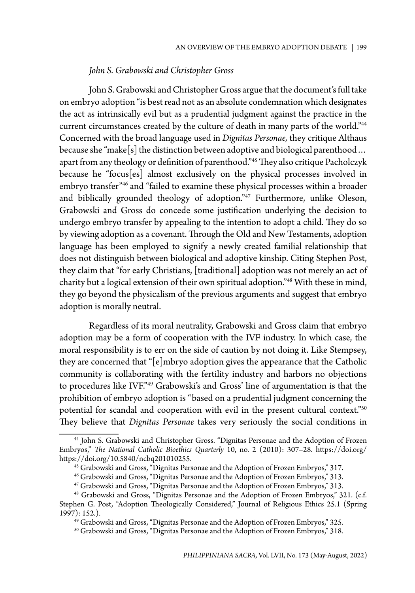## *John S. Grabowski and Christopher Gross*

John S. Grabowski and Christopher Gross argue that the document's full take on embryo adoption "is best read not as an absolute condemnation which designates the act as intrinsically evil but as a prudential judgment against the practice in the current circumstances created by the culture of death in many parts of the world."44 Concerned with the broad language used in *Dignitas Personae,* they critique Althaus because she "make[s] the distinction between adoptive and biological parenthood… apart from any theology or definition of parenthood."45 They also critique Pacholczyk because he "focus[es] almost exclusively on the physical processes involved in embryo transfer"46 and "failed to examine these physical processes within a broader and biblically grounded theology of adoption."<sup>47</sup> Furthermore, unlike Oleson, Grabowski and Gross do concede some justification underlying the decision to undergo embryo transfer by appealing to the intention to adopt a child. They do so by viewing adoption as a covenant. Through the Old and New Testaments, adoption language has been employed to signify a newly created familial relationship that does not distinguish between biological and adoptive kinship. Citing Stephen Post, they claim that "for early Christians, [traditional] adoption was not merely an act of charity but a logical extension of their own spiritual adoption."48 With these in mind, they go beyond the physicalism of the previous arguments and suggest that embryo adoption is morally neutral.

Regardless of its moral neutrality, Grabowski and Gross claim that embryo adoption may be a form of cooperation with the IVF industry. In which case, the moral responsibility is to err on the side of caution by not doing it. Like Stempsey, they are concerned that "[e]mbryo adoption gives the appearance that the Catholic community is collaborating with the fertility industry and harbors no objections to procedures like IVF."49 Grabowski's and Gross' line of argumentation is that the prohibition of embryo adoption is "based on a prudential judgment concerning the potential for scandal and cooperation with evil in the present cultural context."50 They believe that *Dignitas Personae* takes very seriously the social conditions in

<sup>44</sup> John S. Grabowski and Christopher Gross. "Dignitas Personae and the Adoption of Frozen Embryos," *The National Catholic Bioethics Quarterly* 10, no. 2 (2010): 307–28. https://doi.org/ https://doi.org/10.5840/ncbq201010255.

<sup>45</sup> Grabowski and Gross, "Dignitas Personae and the Adoption of Frozen Embryos," 317.

<sup>46</sup> Grabowski and Gross, "Dignitas Personae and the Adoption of Frozen Embryos," 313.

<sup>47</sup> Grabowski and Gross, "Dignitas Personae and the Adoption of Frozen Embryos," 313.

<sup>&</sup>lt;sup>48</sup> Grabowski and Gross, "Dignitas Personae and the Adoption of Frozen Embryos," 321. (c.f. Stephen G. Post, "Adoption Theologically Considered," Journal of Religious Ethics 25.1 (Spring 1997): 152.).

<sup>49</sup> Grabowski and Gross, "Dignitas Personae and the Adoption of Frozen Embryos," 325.

<sup>50</sup> Grabowski and Gross, "Dignitas Personae and the Adoption of Frozen Embryos," 318.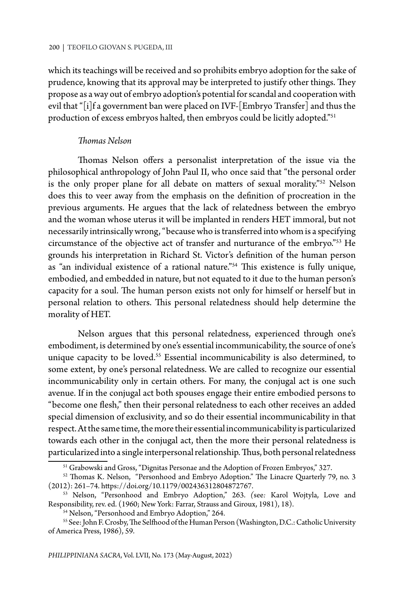which its teachings will be received and so prohibits embryo adoption for the sake of prudence, knowing that its approval may be interpreted to justify other things. They propose as a way out of embryo adoption's potential for scandal and cooperation with evil that "[i]f a government ban were placed on IVF-[Embryo Transfer] and thus the production of excess embryos halted, then embryos could be licitly adopted."<sup>51</sup>

#### *Thomas Nelson*

Thomas Nelson offers a personalist interpretation of the issue via the philosophical anthropology of John Paul II, who once said that "the personal order is the only proper plane for all debate on matters of sexual morality."52 Nelson does this to veer away from the emphasis on the definition of procreation in the previous arguments. He argues that the lack of relatedness between the embryo and the woman whose uterus it will be implanted in renders HET immoral, but not necessarily intrinsically wrong, "because who is transferred into whom is a specifying circumstance of the objective act of transfer and nurturance of the embryo."53 He grounds his interpretation in Richard St. Victor's definition of the human person as "an individual existence of a rational nature."54 This existence is fully unique, embodied, and embedded in nature, but not equated to it due to the human person's capacity for a soul. The human person exists not only for himself or herself but in personal relation to others. This personal relatedness should help determine the morality of HET.

Nelson argues that this personal relatedness, experienced through one's embodiment, is determined by one's essential incommunicability, the source of one's unique capacity to be loved.<sup>55</sup> Essential incommunicability is also determined, to some extent, by one's personal relatedness. We are called to recognize our essential incommunicability only in certain others. For many, the conjugal act is one such avenue. If in the conjugal act both spouses engage their entire embodied persons to "become one flesh," then their personal relatedness to each other receives an added special dimension of exclusivity, and so do their essential incommunicability in that respect. At the same time, the more their essential incommunicability is particularized towards each other in the conjugal act, then the more their personal relatedness is particularized into a single interpersonal relationship. Thus, both personal relatedness

<sup>51</sup> Grabowski and Gross, "Dignitas Personae and the Adoption of Frozen Embryos," 327.

 $52$  Thomas K. Nelson, "Personhood and Embryo Adoption." The Linacre Quarterly 79, no. 3 (2012): 261–74. https://doi.org/10.1179/002436312804872767.

<sup>53</sup> Nelson, "Personhood and Embryo Adoption," 263. *(*see*:* Karol Wojtyla, Love and Responsibility, rev. ed. (1960; New York: Farrar, Strauss and Giroux, 1981), 18).

<sup>54</sup> Nelson, "Personhood and Embryo Adoption," 264.

<sup>55</sup> See: John F. Crosby, The Selfhood of the Human Person (Washington, D.C.: Catholic University of America Press, 1986), 59.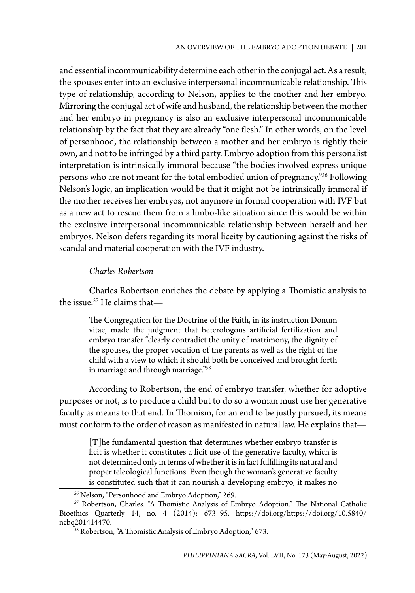and essential incommunicability determine each other in the conjugal act. As a result, the spouses enter into an exclusive interpersonal incommunicable relationship. This type of relationship, according to Nelson, applies to the mother and her embryo. Mirroring the conjugal act of wife and husband, the relationship between the mother and her embryo in pregnancy is also an exclusive interpersonal incommunicable relationship by the fact that they are already "one flesh." In other words, on the level of personhood, the relationship between a mother and her embryo is rightly their own, and not to be infringed by a third party. Embryo adoption from this personalist interpretation is intrinsically immoral because "the bodies involved express unique persons who are not meant for the total embodied union of pregnancy."56 Following Nelson's logic, an implication would be that it might not be intrinsically immoral if the mother receives her embryos, not anymore in formal cooperation with IVF but as a new act to rescue them from a limbo-like situation since this would be within the exclusive interpersonal incommunicable relationship between herself and her embryos. Nelson defers regarding its moral liceity by cautioning against the risks of scandal and material cooperation with the IVF industry.

### *Charles Robertson*

Charles Robertson enriches the debate by applying a Thomistic analysis to the issue. $57$  He claims that—

The Congregation for the Doctrine of the Faith, in its instruction Donum vitae, made the judgment that heterologous artificial fertilization and embryo transfer "clearly contradict the unity of matrimony, the dignity of the spouses, the proper vocation of the parents as well as the right of the child with a view to which it should both be conceived and brought forth in marriage and through marriage."58

According to Robertson, the end of embryo transfer, whether for adoptive purposes or not, is to produce a child but to do so a woman must use her generative faculty as means to that end. In Thomism, for an end to be justly pursued, its means must conform to the order of reason as manifested in natural law. He explains that—

[T]he fundamental question that determines whether embryo transfer is licit is whether it constitutes a licit use of the generative faculty, which is not determined only in terms of whether it is in fact fulfilling its natural and proper teleological functions. Even though the woman's generative faculty is constituted such that it can nourish a developing embryo, it makes no

<sup>56</sup> Nelson, "Personhood and Embryo Adoption," 269.

<sup>57</sup> Robertson, Charles. "A Thomistic Analysis of Embryo Adoption." The National Catholic Bioethics Quarterly 14, no. 4 (2014): 673–95. https://doi.org/https://doi.org/10.5840/ ncbq201414470.

<sup>&</sup>lt;sup>58</sup> Robertson, "A Thomistic Analysis of Embryo Adoption," 673.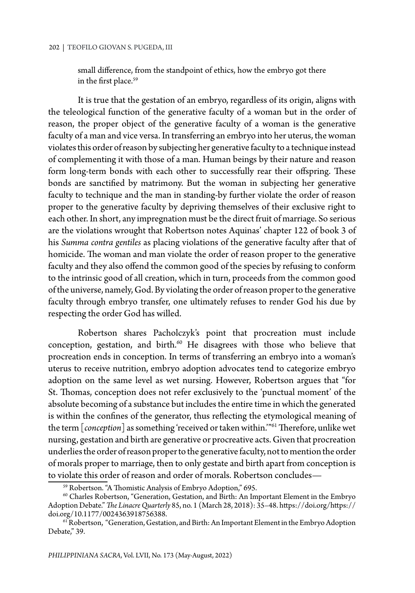small difference, from the standpoint of ethics, how the embryo got there in the first place.<sup>59</sup>

It is true that the gestation of an embryo, regardless of its origin, aligns with the teleological function of the generative faculty of a woman but in the order of reason, the proper object of the generative faculty of a woman is the generative faculty of a man and vice versa. In transferring an embryo into her uterus, the woman violates this order of reason by subjecting her generative faculty to a technique instead of complementing it with those of a man. Human beings by their nature and reason form long-term bonds with each other to successfully rear their offspring. These bonds are sanctified by matrimony. But the woman in subjecting her generative faculty to technique and the man in standing-by further violate the order of reason proper to the generative faculty by depriving themselves of their exclusive right to each other. In short, any impregnation must be the direct fruit of marriage. So serious are the violations wrought that Robertson notes Aquinas' chapter 122 of book 3 of his *Summa contra gentiles* as placing violations of the generative faculty after that of homicide. The woman and man violate the order of reason proper to the generative faculty and they also offend the common good of the species by refusing to conform to the intrinsic good of all creation, which in turn, proceeds from the common good of the universe, namely, God. By violating the order of reason proper to the generative faculty through embryo transfer, one ultimately refuses to render God his due by respecting the order God has willed.

Robertson shares Pacholczyk's point that procreation must include conception, gestation, and birth.<sup>60</sup> He disagrees with those who believe that procreation ends in conception. In terms of transferring an embryo into a woman's uterus to receive nutrition, embryo adoption advocates tend to categorize embryo adoption on the same level as wet nursing. However, Robertson argues that "for St. Thomas, conception does not refer exclusively to the 'punctual moment' of the absolute becoming of a substance but includes the entire time in which the generated is within the confines of the generator, thus reflecting the etymological meaning of the term [*conception*] as something 'received or taken within.'"61 Therefore, unlike wet nursing, gestation and birth are generative or procreative acts. Given that procreation underlies the order of reason proper to the generative faculty, not to mention the order of morals proper to marriage, then to only gestate and birth apart from conception is to violate this order of reason and order of morals. Robertson concludes—<br><sup>59</sup> Robertson. "A Thomistic Analysis of Embryo Adoption," 695.

<sup>60</sup> Charles Robertson, "Generation, Gestation, and Birth: An Important Element in the Embryo Adoption Debate." *The Linacre Quarterly* 85, no. 1 (March 28, 2018): 35–48. https://doi.org/https:// doi.org/10.1177/0024363918756388.

<sup>&</sup>lt;sup>61</sup> Robertson, "Generation, Gestation, and Birth: An Important Element in the Embryo Adoption Debate," 39.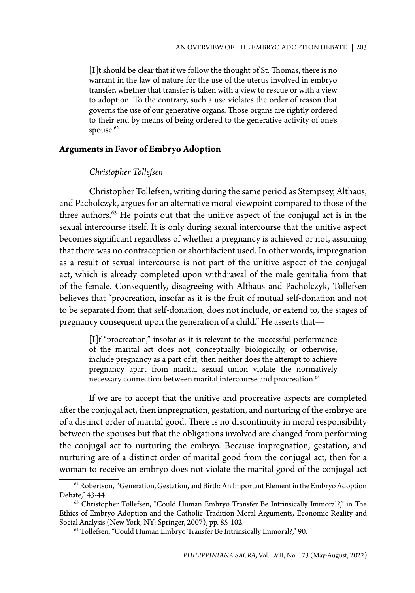[I]t should be clear that if we follow the thought of St. Thomas, there is no warrant in the law of nature for the use of the uterus involved in embryo transfer, whether that transfer is taken with a view to rescue or with a view to adoption. To the contrary, such a use violates the order of reason that governs the use of our generative organs. Those organs are rightly ordered to their end by means of being ordered to the generative activity of one's spouse.<sup>62</sup>

#### **Arguments in Favor of Embryo Adoption**

### *Christopher Tollefsen*

Christopher Tollefsen, writing during the same period as Stempsey, Althaus, and Pacholczyk, argues for an alternative moral viewpoint compared to those of the three authors.<sup>63</sup> He points out that the unitive aspect of the conjugal act is in the sexual intercourse itself. It is only during sexual intercourse that the unitive aspect becomes significant regardless of whether a pregnancy is achieved or not, assuming that there was no contraception or abortifacient used. In other words, impregnation as a result of sexual intercourse is not part of the unitive aspect of the conjugal act, which is already completed upon withdrawal of the male genitalia from that of the female. Consequently, disagreeing with Althaus and Pacholczyk, Tollefsen believes that "procreation, insofar as it is the fruit of mutual self-donation and not to be separated from that self-donation, does not include, or extend to, the stages of pregnancy consequent upon the generation of a child." He asserts that—

[I]f "procreation," insofar as it is relevant to the successful performance of the marital act does not, conceptually, biologically, or otherwise, include pregnancy as a part of it, then neither does the attempt to achieve pregnancy apart from marital sexual union violate the normatively necessary connection between marital intercourse and procreation.<sup>64</sup>

If we are to accept that the unitive and procreative aspects are completed after the conjugal act, then impregnation, gestation, and nurturing of the embryo are of a distinct order of marital good. There is no discontinuity in moral responsibility between the spouses but that the obligations involved are changed from performing the conjugal act to nurturing the embryo. Because impregnation, gestation, and nurturing are of a distinct order of marital good from the conjugal act, then for a woman to receive an embryo does not violate the marital good of the conjugal act

 $62$  Robertson, "Generation, Gestation, and Birth: An Important Element in the Embryo Adoption Debate," 43-44.

<sup>63</sup> Christopher Tollefsen, "Could Human Embryo Transfer Be Intrinsically Immoral?," in The Ethics of Embryo Adoption and the Catholic Tradition Moral Arguments, Economic Reality and Social Analysis (New York, NY: Springer, 2007), pp. 85-102.

<sup>64</sup> Tollefsen, "Could Human Embryo Transfer Be Intrinsically Immoral?," 90.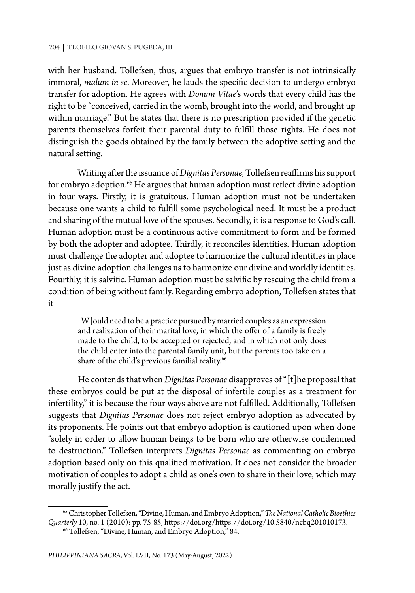with her husband. Tollefsen, thus, argues that embryo transfer is not intrinsically immoral, *malum in se*. Moreover, he lauds the specific decision to undergo embryo transfer for adoption. He agrees with *Donum Vitae*'s words that every child has the right to be "conceived, carried in the womb, brought into the world, and brought up within marriage." But he states that there is no prescription provided if the genetic parents themselves forfeit their parental duty to fulfill those rights. He does not distinguish the goods obtained by the family between the adoptive setting and the natural setting.

Writing after the issuance of *Dignitas Personae*, Tollefsen reaffirms his support for embryo adoption.<sup>65</sup> He argues that human adoption must reflect divine adoption in four ways. Firstly, it is gratuitous. Human adoption must not be undertaken because one wants a child to fulfill some psychological need. It must be a product and sharing of the mutual love of the spouses. Secondly, it is a response to God's call. Human adoption must be a continuous active commitment to form and be formed by both the adopter and adoptee. Thirdly, it reconciles identities. Human adoption must challenge the adopter and adoptee to harmonize the cultural identities in place just as divine adoption challenges us to harmonize our divine and worldly identities. Fourthly, it is salvific. Human adoption must be salvific by rescuing the child from a condition of being without family. Regarding embryo adoption, Tollefsen states that it—

[W] ould need to be a practice pursued by married couples as an expression and realization of their marital love, in which the offer of a family is freely made to the child, to be accepted or rejected, and in which not only does the child enter into the parental family unit, but the parents too take on a share of the child's previous familial reality.<sup>66</sup>

He contends that when *Dignitas Personae* disapproves of "[t]he proposal that these embryos could be put at the disposal of infertile couples as a treatment for infertility," it is because the four ways above are not fulfilled. Additionally, Tollefsen suggests that *Dignitas Personae* does not reject embryo adoption as advocated by its proponents. He points out that embryo adoption is cautioned upon when done "solely in order to allow human beings to be born who are otherwise condemned to destruction." Tollefsen interprets *Dignitas Personae* as commenting on embryo adoption based only on this qualified motivation. It does not consider the broader motivation of couples to adopt a child as one's own to share in their love, which may morally justify the act.

<sup>65</sup> Christopher Tollefsen, "Divine, Human, and Embryo Adoption," *The National Catholic Bioethics Quarterly* 10, no. 1 (2010): pp. 75-85, https://doi.org/https://doi.org/10.5840/ncbq201010173.

<sup>66</sup> Tollefsen, "Divine, Human, and Embryo Adoption," 84.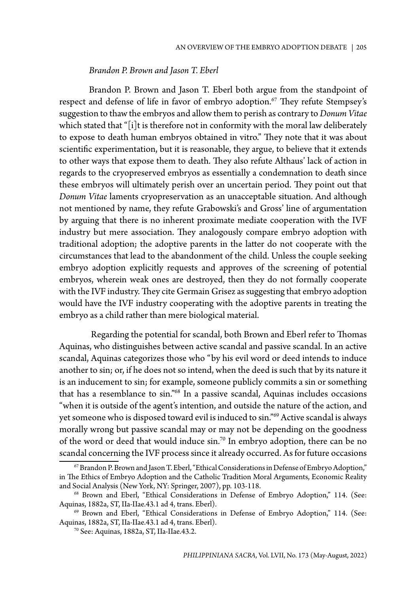#### *Brandon P. Brown and Jason T. Eberl*

Brandon P. Brown and Jason T. Eberl both argue from the standpoint of respect and defense of life in favor of embryo adoption.<sup>67</sup> They refute Stempsey's suggestion to thaw the embryos and allow them to perish as contrary to *Donum Vitae* which stated that "[i]t is therefore not in conformity with the moral law deliberately to expose to death human embryos obtained in vitro." They note that it was about scientific experimentation, but it is reasonable, they argue, to believe that it extends to other ways that expose them to death. They also refute Althaus' lack of action in regards to the cryopreserved embryos as essentially a condemnation to death since these embryos will ultimately perish over an uncertain period. They point out that *Donum Vitae* laments cryopreservation as an unacceptable situation. And although not mentioned by name, they refute Grabowski's and Gross' line of argumentation by arguing that there is no inherent proximate mediate cooperation with the IVF industry but mere association. They analogously compare embryo adoption with traditional adoption; the adoptive parents in the latter do not cooperate with the circumstances that lead to the abandonment of the child. Unless the couple seeking embryo adoption explicitly requests and approves of the screening of potential embryos, wherein weak ones are destroyed, then they do not formally cooperate with the IVF industry. They cite Germain Grisez as suggesting that embryo adoption would have the IVF industry cooperating with the adoptive parents in treating the embryo as a child rather than mere biological material.

 Regarding the potential for scandal, both Brown and Eberl refer to Thomas Aquinas, who distinguishes between active scandal and passive scandal. In an active scandal, Aquinas categorizes those who "by his evil word or deed intends to induce another to sin; or, if he does not so intend, when the deed is such that by its nature it is an inducement to sin; for example, someone publicly commits a sin or something that has a resemblance to sin."68 In a passive scandal, Aquinas includes occasions "when it is outside of the agent's intention, and outside the nature of the action, and yet someone who is disposed toward evil is induced to sin."<sup>69</sup> Active scandal is always morally wrong but passive scandal may or may not be depending on the goodness of the word or deed that would induce  $\sin$ <sup>70</sup> In embryo adoption, there can be no scandal concerning the IVF process since it already occurred. As for future occasions

 $^{67}$  Brandon P. Brown and Jason T. Eberl, "Ethical Considerations in Defense of Embryo Adoption," in The Ethics of Embryo Adoption and the Catholic Tradition Moral Arguments, Economic Reality and Social Analysis (New York, NY: Springer, 2007), pp. 103-118.

<sup>68</sup> Brown and Eberl, "Ethical Considerations in Defense of Embryo Adoption," 114. (See: Aquinas, 1882a, ST, IIa-IIae.43.1 ad 4, trans. Eberl).

<sup>69</sup> Brown and Eberl, "Ethical Considerations in Defense of Embryo Adoption," 114. (See: Aquinas, 1882a, ST, IIa-IIae.43.1 ad 4, trans. Eberl).

<sup>70</sup> See: Aquinas, 1882a, ST, IIa-IIae.43.2.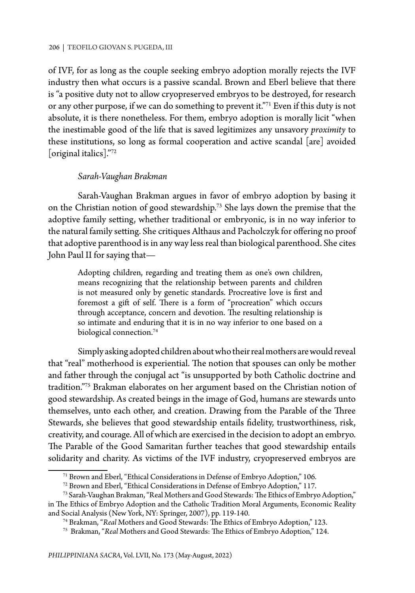of IVF, for as long as the couple seeking embryo adoption morally rejects the IVF industry then what occurs is a passive scandal. Brown and Eberl believe that there is "a positive duty not to allow cryopreserved embryos to be destroyed, for research or any other purpose, if we can do something to prevent it."<sup>71</sup> Even if this duty is not absolute, it is there nonetheless. For them, embryo adoption is morally licit "when the inestimable good of the life that is saved legitimizes any unsavory *proximity* to these institutions, so long as formal cooperation and active scandal [are] avoided [original italics]."72

#### *Sarah-Vaughan Brakman*

Sarah-Vaughan Brakman argues in favor of embryo adoption by basing it on the Christian notion of good stewardship.73 She lays down the premise that the adoptive family setting, whether traditional or embryonic, is in no way inferior to the natural family setting. She critiques Althaus and Pacholczyk for offering no proof that adoptive parenthood is in any way less real than biological parenthood. She cites John Paul II for saying that—

Adopting children, regarding and treating them as one's own children, means recognizing that the relationship between parents and children is not measured only by genetic standards. Procreative love is first and foremost a gift of self. There is a form of "procreation" which occurs through acceptance, concern and devotion. The resulting relationship is so intimate and enduring that it is in no way inferior to one based on a biological connection.<sup>74</sup>

Simply asking adopted children about who their real mothers are would reveal that "real" motherhood is experiential. The notion that spouses can only be mother and father through the conjugal act "is unsupported by both Catholic doctrine and tradition."75 Brakman elaborates on her argument based on the Christian notion of good stewardship. As created beings in the image of God, humans are stewards unto themselves, unto each other, and creation. Drawing from the Parable of the Three Stewards, she believes that good stewardship entails fidelity, trustworthiness, risk, creativity, and courage. All of which are exercised in the decision to adopt an embryo. The Parable of the Good Samaritan further teaches that good stewardship entails solidarity and charity. As victims of the IVF industry, cryopreserved embryos are

<sup>71</sup> Brown and Eberl, "Ethical Considerations in Defense of Embryo Adoption," 106.

<sup>72</sup> Brown and Eberl, "Ethical Considerations in Defense of Embryo Adoption," 117.

<sup>73</sup> Sarah-Vaughan Brakman, "Real Mothers and Good Stewards: The Ethics of Embryo Adoption," in The Ethics of Embryo Adoption and the Catholic Tradition Moral Arguments, Economic Reality

and Social Analysis (New York, NY: Springer, 2007), pp. 119-140.

<sup>74</sup> Brakman, "*Real* Mothers and Good Stewards: The Ethics of Embryo Adoption," 123.

<sup>75</sup> Brakman, "*Real* Mothers and Good Stewards: The Ethics of Embryo Adoption," 124.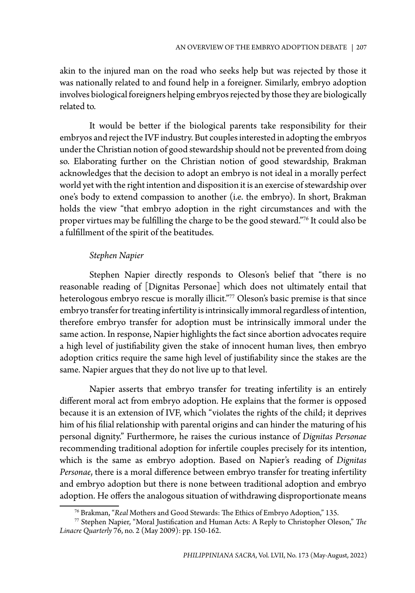akin to the injured man on the road who seeks help but was rejected by those it was nationally related to and found help in a foreigner. Similarly, embryo adoption involves biological foreigners helping embryos rejected by those they are biologically related to.

It would be better if the biological parents take responsibility for their embryos and reject the IVF industry. But couples interested in adopting the embryos under the Christian notion of good stewardship should not be prevented from doing so. Elaborating further on the Christian notion of good stewardship, Brakman acknowledges that the decision to adopt an embryo is not ideal in a morally perfect world yet with the right intention and disposition it is an exercise of stewardship over one's body to extend compassion to another (i.e. the embryo). In short, Brakman holds the view "that embryo adoption in the right circumstances and with the proper virtues may be fulfilling the charge to be the good steward."76 It could also be a fulfillment of the spirit of the beatitudes.

## *Stephen Napier*

Stephen Napier directly responds to Oleson's belief that "there is no reasonable reading of [Dignitas Personae] which does not ultimately entail that heterologous embryo rescue is morally illicit."77 Oleson's basic premise is that since embryo transfer for treating infertility is intrinsically immoral regardless of intention, therefore embryo transfer for adoption must be intrinsically immoral under the same action. In response, Napier highlights the fact since abortion advocates require a high level of justifiability given the stake of innocent human lives, then embryo adoption critics require the same high level of justifiability since the stakes are the same. Napier argues that they do not live up to that level.

Napier asserts that embryo transfer for treating infertility is an entirely different moral act from embryo adoption. He explains that the former is opposed because it is an extension of IVF, which "violates the rights of the child; it deprives him of his filial relationship with parental origins and can hinder the maturing of his personal dignity." Furthermore, he raises the curious instance of *Dignitas Personae*  recommending traditional adoption for infertile couples precisely for its intention, which is the same as embryo adoption. Based on Napier's reading of *Dignitas Personae*, there is a moral difference between embryo transfer for treating infertility and embryo adoption but there is none between traditional adoption and embryo adoption. He offers the analogous situation of withdrawing disproportionate means

<sup>76</sup> Brakman, "*Real* Mothers and Good Stewards: The Ethics of Embryo Adoption," 135.

<sup>77</sup> Stephen Napier, "Moral Justification and Human Acts: A Reply to Christopher Oleson," *The Linacre Quarterly* 76, no. 2 (May 2009): pp. 150-162.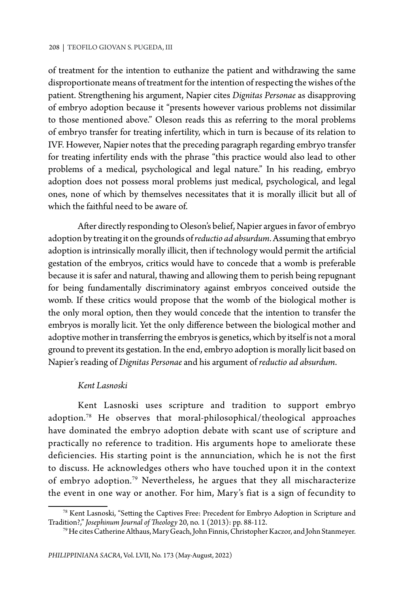of treatment for the intention to euthanize the patient and withdrawing the same disproportionate means of treatment for the intention of respecting the wishes of the patient. Strengthening his argument, Napier cites *Dignitas Personae* as disapproving of embryo adoption because it "presents however various problems not dissimilar to those mentioned above." Oleson reads this as referring to the moral problems of embryo transfer for treating infertility, which in turn is because of its relation to IVF. However, Napier notes that the preceding paragraph regarding embryo transfer for treating infertility ends with the phrase "this practice would also lead to other problems of a medical, psychological and legal nature." In his reading, embryo adoption does not possess moral problems just medical, psychological, and legal ones, none of which by themselves necessitates that it is morally illicit but all of which the faithful need to be aware of.

After directly responding to Oleson's belief, Napier argues in favor of embryo adoption by treating it on the grounds of *reductio ad absurdum*. Assuming that embryo adoption is intrinsically morally illicit, then if technology would permit the artificial gestation of the embryos, critics would have to concede that a womb is preferable because it is safer and natural, thawing and allowing them to perish being repugnant for being fundamentally discriminatory against embryos conceived outside the womb. If these critics would propose that the womb of the biological mother is the only moral option, then they would concede that the intention to transfer the embryos is morally licit. Yet the only difference between the biological mother and adoptive mother in transferring the embryos is genetics, which by itself is not a moral ground to prevent its gestation. In the end, embryo adoption is morally licit based on Napier's reading of *Dignitas Personae* and his argument of *reductio ad absurdum*.

#### *Kent Lasnoski*

Kent Lasnoski uses scripture and tradition to support embryo adoption.78 He observes that moral-philosophical/theological approaches have dominated the embryo adoption debate with scant use of scripture and practically no reference to tradition. His arguments hope to ameliorate these deficiencies. His starting point is the annunciation, which he is not the first to discuss. He acknowledges others who have touched upon it in the context of embryo adoption.79 Nevertheless, he argues that they all mischaracterize the event in one way or another. For him, Mary's fiat is a sign of fecundity to

<sup>78</sup> Kent Lasnoski, "Setting the Captives Free: Precedent for Embryo Adoption in Scripture and Tradition?," *Josephinum Journal of Theology* 20, no. 1 (2013): pp. 88-112.

<sup>79</sup> He cites Catherine Althaus, Mary Geach, John Finnis, Christopher Kaczor, and John Stanmeyer.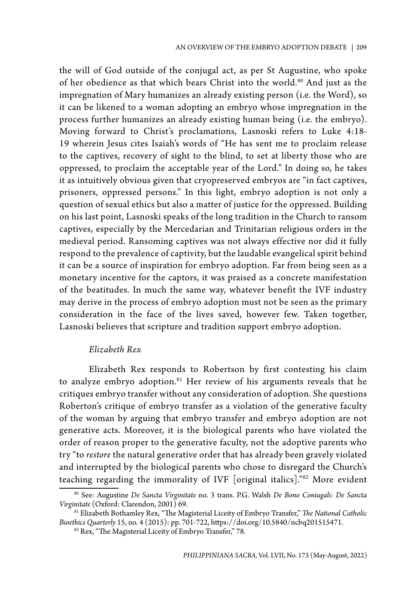the will of God outside of the conjugal act, as per St Augustine, who spoke of her obedience as that which bears Christ into the world.<sup>80</sup> And just as the impregnation of Mary humanizes an already existing person (i.e. the Word), so it can be likened to a woman adopting an embryo whose impregnation in the process further humanizes an already existing human being (i.e. the embryo). Moving forward to Christ's proclamations, Lasnoski refers to Luke 4:18- 19 wherein Jesus cites Isaiah's words of "He has sent me to proclaim release to the captives, recovery of sight to the blind, to set at liberty those who are oppressed, to proclaim the acceptable year of the Lord." In doing so, he takes it as intuitively obvious given that cryopreserved embryos are "in fact captives, prisoners, oppressed persons." In this light, embryo adoption is not only a question of sexual ethics but also a matter of justice for the oppressed. Building on his last point, Lasnoski speaks of the long tradition in the Church to ransom captives, especially by the Mercedarian and Trinitarian religious orders in the medieval period. Ransoming captives was not always effective nor did it fully respond to the prevalence of captivity, but the laudable evangelical spirit behind it can be a source of inspiration for embryo adoption. Far from being seen as a monetary incentive for the captors, it was praised as a concrete manifestation of the beatitudes. In much the same way, whatever benefit the IVF industry may derive in the process of embryo adoption must not be seen as the primary consideration in the face of the lives saved, however few. Taken together, Lasnoski believes that scripture and tradition support embryo adoption.

## *Elizabeth Rex*

Elizabeth Rex responds to Robertson by first contesting his claim to analyze embryo adoption.<sup>81</sup> Her review of his arguments reveals that he critiques embryo transfer without any consideration of adoption. She questions Roberton's critique of embryo transfer as a violation of the generative faculty of the woman by arguing that embryo transfer and embryo adoption are not generative acts. Moreover, it is the biological parents who have violated the order of reason proper to the generative faculty, not the adoptive parents who try "to *restore* the natural generative order that has already been gravely violated and interrupted by the biological parents who chose to disregard the Church's teaching regarding the immorality of IVF [original italics]."82 More evident

<sup>80</sup> See: Augustine *De Sancta Virginitate* no. 3 trans. P.G. Walsh *De Bono Coniugali: De Sancta Virginitate* (Oxford: Clarendon, 2001) 69.

<sup>81</sup> Elizabeth Bothamley Rex, "The Magisterial Liceity of Embryo Transfer," *The National Catholic Bioethics Quarterly* 15, no. 4 (2015): pp. 701-722, https://doi.org/10.5840/ncbq201515471.

<sup>&</sup>lt;sup>82</sup> Rex, "The Magisterial Liceity of Embryo Transfer," 78.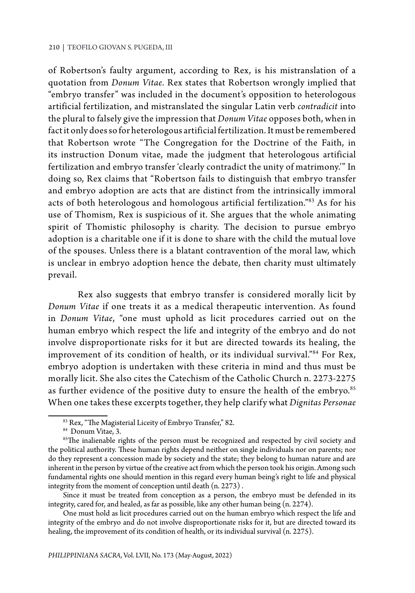of Robertson's faulty argument, according to Rex, is his mistranslation of a quotation from *Donum Vitae*. Rex states that Robertson wrongly implied that "embryo transfer" was included in the document's opposition to heterologous artificial fertilization, and mistranslated the singular Latin verb *contradicit* into the plural to falsely give the impression that *Donum Vitae* opposes both, when in fact it only does so for heterologous artificial fertilization. It must be remembered that Robertson wrote "The Congregation for the Doctrine of the Faith, in its instruction Donum vitae, made the judgment that heterologous artificial fertilization and embryo transfer 'clearly contradict the unity of matrimony.'" In doing so, Rex claims that "Robertson fails to distinguish that embryo transfer and embryo adoption are acts that are distinct from the intrinsically immoral acts of both heterologous and homologous artificial fertilization."<sup>83</sup> As for his use of Thomism, Rex is suspicious of it. She argues that the whole animating spirit of Thomistic philosophy is charity. The decision to pursue embryo adoption is a charitable one if it is done to share with the child the mutual love of the spouses. Unless there is a blatant contravention of the moral law, which is unclear in embryo adoption hence the debate, then charity must ultimately prevail.

Rex also suggests that embryo transfer is considered morally licit by *Donum Vitae* if one treats it as a medical therapeutic intervention. As found in *Donum Vitae*, "one must uphold as licit procedures carried out on the human embryo which respect the life and integrity of the embryo and do not involve disproportionate risks for it but are directed towards its healing, the improvement of its condition of health, or its individual survival."84 For Rex, embryo adoption is undertaken with these criteria in mind and thus must be morally licit. She also cites the Catechism of the Catholic Church n. 2273-2275 as further evidence of the positive duty to ensure the health of the embryo.<sup>85</sup> When one takes these excerpts together, they help clarify what *Dignitas Personae* 

One must hold as licit procedures carried out on the human embryo which respect the life and integrity of the embryo and do not involve disproportionate risks for it, but are directed toward its healing, the improvement of its condition of health, or its individual survival (n. 2275).

<sup>&</sup>lt;sup>83</sup> Rex, "The Magisterial Liceity of Embryo Transfer," 82.

<sup>84</sup> Donum Vitae, 3.

<sup>&</sup>lt;sup>85</sup>The inalienable rights of the person must be recognized and respected by civil society and the political authority. These human rights depend neither on single individuals nor on parents; nor do they represent a concession made by society and the state; they belong to human nature and are inherent in the person by virtue of the creative act from which the person took his origin. Among such fundamental rights one should mention in this regard every human being's right to life and physical integrity from the moment of conception until death (n. 2273) .

Since it must be treated from conception as a person, the embryo must be defended in its integrity, cared for, and healed, as far as possible, like any other human being (n. 2274).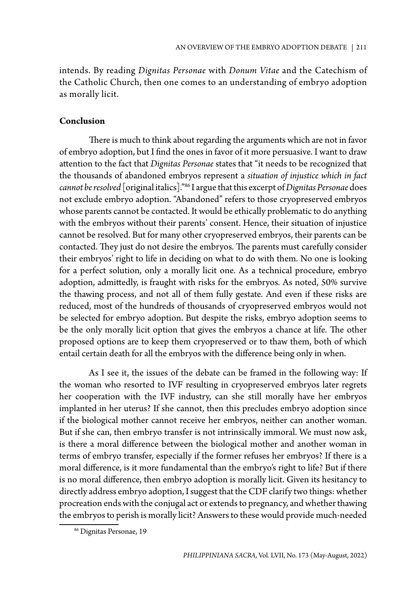intends. By reading *Dignitas Personae* with *Donum Vitae* and the Catechism of the Catholic Church, then one comes to an understanding of embryo adoption as morally licit.

## **Conclusion**

There is much to think about regarding the arguments which are not in favor of embryo adoption, but I find the ones in favor of it more persuasive. I want to draw attention to the fact that *Dignitas Personae* states that "it needs to be recognized that the thousands of abandoned embryos represent a *situation of injustice which in fact cannot be resolved* [original italics]."86 I argue that this excerpt of *Dignitas Personae* does not exclude embryo adoption. "Abandoned" refers to those cryopreserved embryos whose parents cannot be contacted. It would be ethically problematic to do anything with the embryos without their parents' consent. Hence, their situation of injustice cannot be resolved. But for many other cryopreserved embryos, their parents can be contacted. They just do not desire the embryos. The parents must carefully consider their embryos' right to life in deciding on what to do with them. No one is looking for a perfect solution, only a morally licit one. As a technical procedure, embryo adoption, admittedly, is fraught with risks for the embryos. As noted, 50% survive the thawing process, and not all of them fully gestate. And even if these risks are reduced, most of the hundreds of thousands of cryopreserved embryos would not be selected for embryo adoption. But despite the risks, embryo adoption seems to be the only morally licit option that gives the embryos a chance at life. The other proposed options are to keep them cryopreserved or to thaw them, both of which entail certain death for all the embryos with the difference being only in when.

As I see it, the issues of the debate can be framed in the following way: If the woman who resorted to IVF resulting in cryopreserved embryos later regrets her cooperation with the IVF industry, can she still morally have her embryos implanted in her uterus? If she cannot, then this precludes embryo adoption since if the biological mother cannot receive her embryos, neither can another woman. But if she can, then embryo transfer is not intrinsically immoral. We must now ask, is there a moral difference between the biological mother and another woman in terms of embryo transfer, especially if the former refuses her embryos? If there is a moral difference, is it more fundamental than the embryo's right to life? But if there is no moral difference, then embryo adoption is morally licit. Given its hesitancy to directly address embryo adoption, I suggest that the CDF clarify two things: whether procreation ends with the conjugal act or extends to pregnancy, and whether thawing the embryos to perish is morally licit? Answers to these would provide much-needed

<sup>86</sup> Dignitas Personae, 19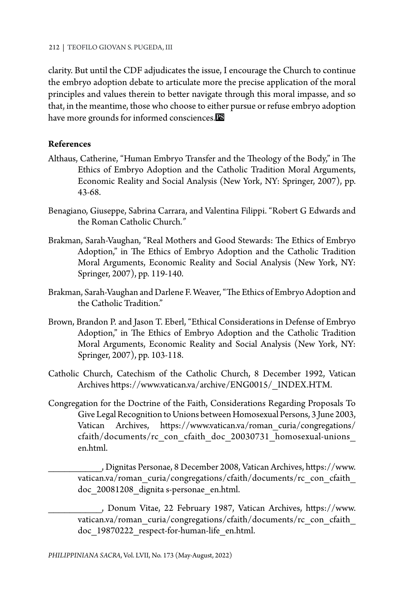clarity. But until the CDF adjudicates the issue, I encourage the Church to continue the embryo adoption debate to articulate more the precise application of the moral principles and values therein to better navigate through this moral impasse, and so that, in the meantime, those who choose to either pursue or refuse embryo adoption have more grounds for informed consciences.<sup>13</sup>

## **References**

- Althaus, Catherine, "Human Embryo Transfer and the Theology of the Body," in The Ethics of Embryo Adoption and the Catholic Tradition Moral Arguments, Economic Reality and Social Analysis (New York, NY: Springer, 2007), pp. 43-68.
- Benagiano, Giuseppe, Sabrina Carrara, and Valentina Filippi. "Robert G Edwards and the Roman Catholic Church.*"*
- Brakman, Sarah-Vaughan, "Real Mothers and Good Stewards: The Ethics of Embryo Adoption," in The Ethics of Embryo Adoption and the Catholic Tradition Moral Arguments, Economic Reality and Social Analysis (New York, NY: Springer, 2007), pp. 119-140.
- Brakman, Sarah-Vaughan and Darlene F. Weaver, "The Ethics of Embryo Adoption and the Catholic Tradition."
- Brown, Brandon P. and Jason T. Eberl, "Ethical Considerations in Defense of Embryo Adoption," in The Ethics of Embryo Adoption and the Catholic Tradition Moral Arguments, Economic Reality and Social Analysis (New York, NY: Springer, 2007), pp. 103-118.
- Catholic Church, Catechism of the Catholic Church, 8 December 1992, Vatican Archives https://www.vatican.va/archive/ENG0015/\_INDEX.HTM.
- Congregation for the Doctrine of the Faith, Considerations Regarding Proposals To Give Legal Recognition to Unions between Homosexual Persons, 3 June 2003, Vatican Archives, https://www.vatican.va/roman\_curia/congregations/ cfaith/documents/rc\_con\_cfaith\_doc\_20030731\_homosexual-unions\_ en.html.

\_\_\_\_\_\_\_\_\_\_, Dignitas Personae, 8 December 2008, Vatican Archives, https://www. vatican.va/roman\_curia/congregations/cfaith/documents/rc\_con\_cfaith doc\_20081208\_dignita s-personae\_en.html.

\_\_\_\_\_\_\_\_\_\_, Donum Vitae, 22 February 1987, Vatican Archives, https://www. vatican.va/roman\_curia/congregations/cfaith/documents/rc\_con\_cfaith doc\_19870222\_respect-for-human-life\_en.html.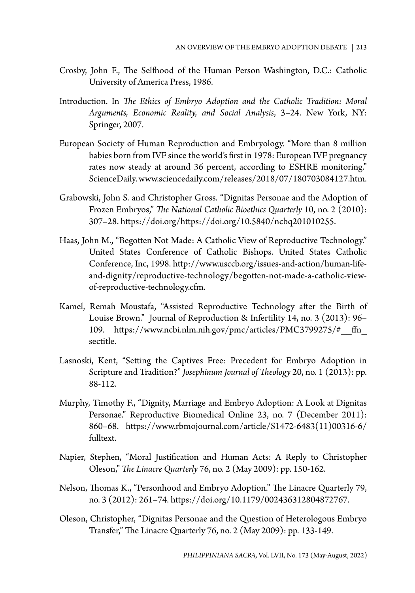- Crosby, John F., The Selfhood of the Human Person Washington, D.C.: Catholic University of America Press, 1986.
- Introduction. In *The Ethics of Embryo Adoption and the Catholic Tradition: Moral Arguments, Economic Reality, and Social Analysis*, 3–24. New York, NY: Springer, 2007.
- European Society of Human Reproduction and Embryology. "More than 8 million babies born from IVF since the world's first in 1978: European IVF pregnancy rates now steady at around 36 percent, according to ESHRE monitoring." ScienceDaily. www.sciencedaily.com/releases/2018/07/180703084127.htm.
- Grabowski, John S. and Christopher Gross. "Dignitas Personae and the Adoption of Frozen Embryos," *The National Catholic Bioethics Quarterly* 10, no. 2 (2010): 307–28. https://doi.org/https://doi.org/10.5840/ncbq201010255.
- Haas, John M., "Begotten Not Made: A Catholic View of Reproductive Technology." United States Conference of Catholic Bishops. United States Catholic Conference, Inc, 1998. http://www.usccb.org/issues-and-action/human-lifeand-dignity/reproductive-technology/begotten-not-made-a-catholic-viewof-reproductive-technology.cfm.
- Kamel, Remah Moustafa, "Assisted Reproductive Technology after the Birth of Louise Brown." Journal of Reproduction & Infertility 14, no. 3 (2013): 96– 109. https://www.ncbi.nlm.nih.gov/pmc/articles/PMC3799275/#\_\_ffn\_ sectitle.
- Lasnoski, Kent, "Setting the Captives Free: Precedent for Embryo Adoption in Scripture and Tradition?" *Josephinum Journal of Theology* 20, no. 1 (2013): pp. 88-112.
- Murphy, Timothy F., "Dignity, Marriage and Embryo Adoption: A Look at Dignitas Personae." Reproductive Biomedical Online 23, no. 7 (December 2011): 860–68. https://www.rbmojournal.com/article/S1472-6483(11)00316-6/ fulltext.
- Napier, Stephen, "Moral Justification and Human Acts: A Reply to Christopher Oleson," *The Linacre Quarterly* 76, no. 2 (May 2009): pp. 150-162.
- Nelson, Thomas K., "Personhood and Embryo Adoption." The Linacre Quarterly 79, no. 3 (2012): 261–74. https://doi.org/10.1179/002436312804872767.
- Oleson, Christopher, "Dignitas Personae and the Question of Heterologous Embryo Transfer," The Linacre Quarterly 76, no. 2 (May 2009): pp. 133-149.